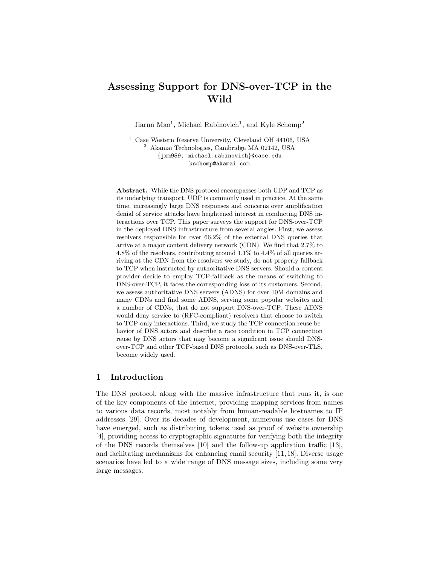# Assessing Support for DNS-over-TCP in the Wild

Jiarun Mao<sup>1</sup>, Michael Rabinovich<sup>1</sup>, and Kyle Schomp<sup>2</sup>

<sup>1</sup> Case Western Reserve University, Cleveland OH 44106, USA  $^2$  Akamai Technologies, Cambridge MA 02142, USA {jxm959, michael.rabinovich}@case.edu kschomp@akamai.com

Abstract. While the DNS protocol encompasses both UDP and TCP as its underlying transport, UDP is commonly used in practice. At the same time, increasingly large DNS responses and concerns over amplification denial of service attacks have heightened interest in conducting DNS interactions over TCP. This paper surveys the support for DNS-over-TCP in the deployed DNS infrastructure from several angles. First, we assess resolvers responsible for over 66.2% of the external DNS queries that arrive at a major content delivery network (CDN). We find that 2.7% to 4.8% of the resolvers, contributing around 1.1% to 4.4% of all queries arriving at the CDN from the resolvers we study, do not properly fallback to TCP when instructed by authoritative DNS servers. Should a content provider decide to employ TCP-fallback as the means of switching to DNS-over-TCP, it faces the corresponding loss of its customers. Second, we assess authoritative DNS servers (ADNS) for over 10M domains and many CDNs and find some ADNS, serving some popular websites and a number of CDNs, that do not support DNS-over-TCP. These ADNS would deny service to (RFC-compliant) resolvers that choose to switch to TCP-only interactions. Third, we study the TCP connection reuse behavior of DNS actors and describe a race condition in TCP connection reuse by DNS actors that may become a significant issue should DNSover-TCP and other TCP-based DNS protocols, such as DNS-over-TLS, become widely used.

### 1 Introduction

The DNS protocol, along with the massive infrastructure that runs it, is one of the key components of the Internet, providing mapping services from names to various data records, most notably from human-readable hostnames to IP addresses [29]. Over its decades of development, numerous use cases for DNS have emerged, such as distributing tokens used as proof of website ownership [4], providing access to cryptographic signatures for verifying both the integrity of the DNS records themselves [10] and the follow-up application traffic [13], and facilitating mechanisms for enhancing email security [11, 18]. Diverse usage scenarios have led to a wide range of DNS message sizes, including some very large messages.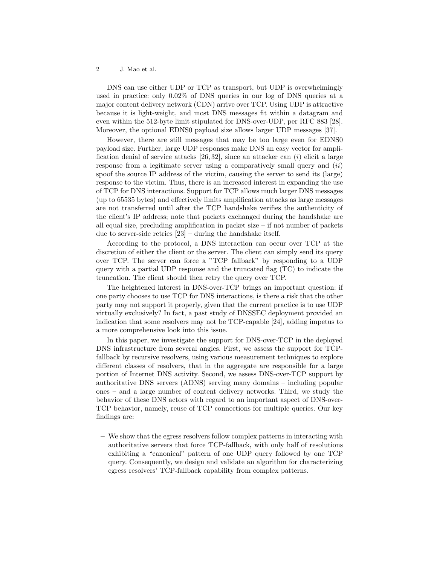DNS can use either UDP or TCP as transport, but UDP is overwhelmingly used in practice: only 0.02% of DNS queries in our log of DNS queries at a major content delivery network (CDN) arrive over TCP. Using UDP is attractive because it is light-weight, and most DNS messages fit within a datagram and even within the 512-byte limit stipulated for DNS-over-UDP, per RFC 883 [28]. Moreover, the optional EDNS0 payload size allows larger UDP messages [37].

However, there are still messages that may be too large even for EDNS0 payload size. Further, large UDP responses make DNS an easy vector for amplification denial of service attacks  $[26, 32]$ , since an attacker can  $(i)$  elicit a large response from a legitimate server using a comparatively small query and  $(ii)$ spoof the source IP address of the victim, causing the server to send its (large) response to the victim. Thus, there is an increased interest in expanding the use of TCP for DNS interactions. Support for TCP allows much larger DNS messages (up to 65535 bytes) and effectively limits amplification attacks as large messages are not transferred until after the TCP handshake verifies the authenticity of the client's IP address; note that packets exchanged during the handshake are all equal size, precluding amplification in packet size  $-$  if not number of packets due to server-side retries [23] – during the handshake itself.

According to the protocol, a DNS interaction can occur over TCP at the discretion of either the client or the server. The client can simply send its query over TCP. The server can force a "TCP fallback" by responding to a UDP query with a partial UDP response and the truncated flag (TC) to indicate the truncation. The client should then retry the query over TCP.

The heightened interest in DNS-over-TCP brings an important question: if one party chooses to use TCP for DNS interactions, is there a risk that the other party may not support it properly, given that the current practice is to use UDP virtually exclusively? In fact, a past study of DNSSEC deployment provided an indication that some resolvers may not be TCP-capable [24], adding impetus to a more comprehensive look into this issue.

In this paper, we investigate the support for DNS-over-TCP in the deployed DNS infrastructure from several angles. First, we assess the support for TCPfallback by recursive resolvers, using various measurement techniques to explore different classes of resolvers, that in the aggregate are responsible for a large portion of Internet DNS activity. Second, we assess DNS-over-TCP support by authoritative DNS servers (ADNS) serving many domains – including popular ones – and a large number of content delivery networks. Third, we study the behavior of these DNS actors with regard to an important aspect of DNS-over-TCP behavior, namely, reuse of TCP connections for multiple queries. Our key findings are:

– We show that the egress resolvers follow complex patterns in interacting with authoritative servers that force TCP-fallback, with only half of resolutions exhibiting a "canonical" pattern of one UDP query followed by one TCP query. Consequently, we design and validate an algorithm for characterizing egress resolvers' TCP-fallback capability from complex patterns.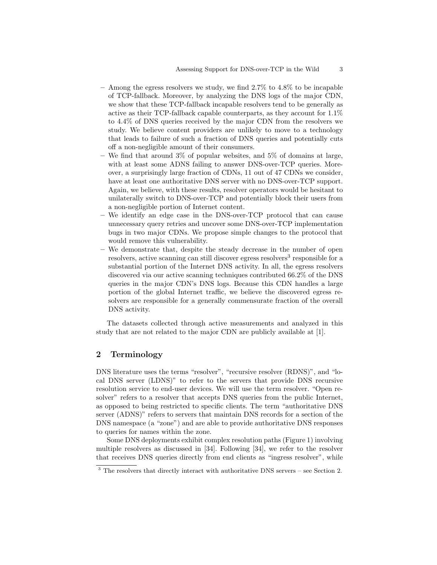- Among the egress resolvers we study, we find  $2.7\%$  to  $4.8\%$  to be incapable of TCP-fallback. Moreover, by analyzing the DNS logs of the major CDN, we show that these TCP-fallback incapable resolvers tend to be generally as active as their TCP-fallback capable counterparts, as they account for 1.1% to 4.4% of DNS queries received by the major CDN from the resolvers we study. We believe content providers are unlikely to move to a technology that leads to failure of such a fraction of DNS queries and potentially cuts off a non-negligible amount of their consumers.
- We find that around  $3\%$  of popular websites, and  $5\%$  of domains at large, with at least some ADNS failing to answer DNS-over-TCP queries. Moreover, a surprisingly large fraction of CDNs, 11 out of 47 CDNs we consider, have at least one authoritative DNS server with no DNS-over-TCP support. Again, we believe, with these results, resolver operators would be hesitant to unilaterally switch to DNS-over-TCP and potentially block their users from a non-negligible portion of Internet content.
- We identify an edge case in the DNS-over-TCP protocol that can cause unnecessary query retries and uncover some DNS-over-TCP implementation bugs in two major CDNs. We propose simple changes to the protocol that would remove this vulnerability.
- We demonstrate that, despite the steady decrease in the number of open resolvers, active scanning can still discover egress resolvers<sup>3</sup> responsible for a substantial portion of the Internet DNS activity. In all, the egress resolvers discovered via our active scanning techniques contributed 66.2% of the DNS queries in the major CDN's DNS logs. Because this CDN handles a large portion of the global Internet traffic, we believe the discovered egress resolvers are responsible for a generally commensurate fraction of the overall DNS activity.

The datasets collected through active measurements and analyzed in this study that are not related to the major CDN are publicly available at [1].

### 2 Terminology

DNS literature uses the terms "resolver", "recursive resolver (RDNS)", and "local DNS server (LDNS)" to refer to the servers that provide DNS recursive resolution service to end-user devices. We will use the term resolver. "Open resolver" refers to a resolver that accepts DNS queries from the public Internet, as opposed to being restricted to specific clients. The term "authoritative DNS server (ADNS)" refers to servers that maintain DNS records for a section of the DNS namespace (a "zone") and are able to provide authoritative DNS responses to queries for names within the zone.

Some DNS deployments exhibit complex resolution paths (Figure 1) involving multiple resolvers as discussed in [34]. Following [34], we refer to the resolver that receives DNS queries directly from end clients as "ingress resolver", while

<sup>3</sup> The resolvers that directly interact with authoritative DNS servers – see Section 2.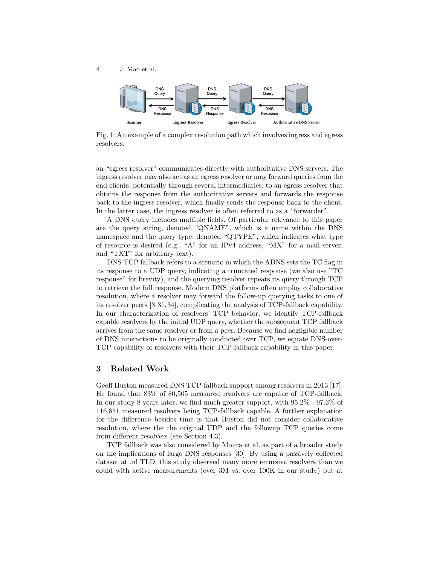4 J. Mao et al.



Fig. 1: An example of a complex resolution path which involves ingress and egress resolvers.

an "egress resolver" communicates directly with authoritative DNS servers. The ingress resolver may also act as an egress resolver or may forward queries from the end clients, potentially through several intermediaries, to an egress resolver that obtains the response from the authoritative servers and forwards the response back to the ingress resolver, which finally sends the response back to the client. In the latter case, the ingress resolver is often referred to as a "forwarder".

A DNS query includes multiple fields. Of particular relevance to this paper are the query string, denoted "QNAME", which is a name within the DNS namespace and the query type, denoted "QTYPE", which indicates what type of resource is desired (e.g., "A" for an IPv4 address, "MX" for a mail server, and "TXT" for arbitrary text).

DNS TCP fallback refers to a scenario in which the ADNS sets the TC flag in its response to a UDP query, indicating a truncated response (we also use "TC response" for brevity), and the querying resolver repeats its query through TCP to retrieve the full response. Modern DNS platforms often employ collaborative resolution, where a resolver may forward the follow-up querying tasks to one of its resolver peers [3,31,34], complicating the analysis of TCP-fallback capability. In our characterization of resolvers' TCP behavior, we identify TCP-fallback capable resolvers by the initial UDP query, whether the subsequent TCP fallback arrives from the same resolver or from a peer. Because we find negligible number of DNS interactions to be originally conducted over TCP, we equate DNS-over-TCP capability of resolvers with their TCP-fallback capability in this paper.

### 3 Related Work

Geoff Huston measured DNS TCP-fallback support among resolvers in 2013 [17]. He found that 83% of 80,505 measured resolvers are capable of TCP-fallback. In our study 8 years later, we find much greater support, with 95.2% - 97.3% of 116,851 measured resolvers being TCP-fallback capable. A further explanation for the difference besides time is that Huston did not consider collaborative resolution, where the the original UDP and the followup TCP queries come from different resolvers (see Section 4.3).

TCP fallback was also considered by Moura et al. as part of a broader study on the implications of large DNS responses [30]. By using a passively collected dataset at .nl TLD, this study observed many more recursive resolvers than we could with active measurements (over 3M vs. over 100K in our study) but at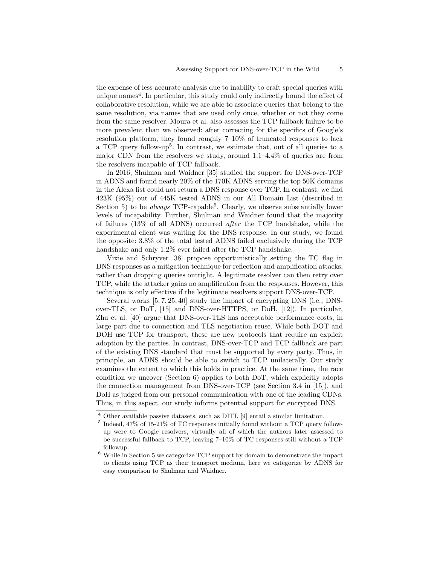the expense of less accurate analysis due to inability to craft special queries with unique names<sup>4</sup>. In particular, this study could only indirectly bound the effect of collaborative resolution, while we are able to associate queries that belong to the same resolution, via names that are used only once, whether or not they come from the same resolver. Moura et al. also assesses the TCP fallback failure to be more prevalent than we observed: after correcting for the specifics of Google's resolution platform, they found roughly 7–10% of truncated responses to lack a TCP query follow-up<sup>5</sup>. In contrast, we estimate that, out of all queries to a major CDN from the resolvers we study, around  $1.1-4.4\%$  of queries are from the resolvers incapable of TCP fallback.

In 2016, Shulman and Waidner [35] studied the support for DNS-over-TCP in ADNS and found nearly 20% of the 170K ADNS serving the top 50K domains in the Alexa list could not return a DNS response over TCP. In contrast, we find 423K (95%) out of 445K tested ADNS in our All Domain List (described in Section 5) to be *always*  $TCP\text{-} capable^6$ . Clearly, we observe substantially lower levels of incapability. Further, Shulman and Waidner found that the majority of failures (13% of all ADNS) occurred after the TCP handshake, while the experimental client was waiting for the DNS response. In our study, we found the opposite: 3.8% of the total tested ADNS failed exclusively during the TCP handshake and only 1.2% ever failed after the TCP handshake.

Vixie and Schryver [38] propose opportunistically setting the TC flag in DNS responses as a mitigation technique for reflection and amplification attacks, rather than dropping queries outright. A legitimate resolver can then retry over TCP, while the attacker gains no amplification from the responses. However, this technique is only effective if the legitimate resolvers support DNS-over-TCP.

Several works [5, 7, 25, 40] study the impact of encrypting DNS (i.e., DNSover-TLS, or DoT, [15] and DNS-over-HTTPS, or DoH, [12]). In particular, Zhu et al. [40] argue that DNS-over-TLS has acceptable performance costs, in large part due to connection and TLS negotiation reuse. While both DOT and DOH use TCP for transport, these are new protocols that require an explicit adoption by the parties. In contrast, DNS-over-TCP and TCP fallback are part of the existing DNS standard that must be supported by every party. Thus, in principle, an ADNS should be able to switch to TCP unilaterally. Our study examines the extent to which this holds in practice. At the same time, the race condition we uncover (Section 6) applies to both DoT, which explicitly adopts the connection management from DNS-over-TCP (see Section 3.4 in [15]), and DoH as judged from our personal communication with one of the leading CDNs. Thus, in this aspect, our study informs potential support for encrypted DNS.

<sup>4</sup> Other available passive datasets, such as DITL [9] entail a similar limitation.

<sup>5</sup> Indeed, 47% of 15-21% of TC responses initially found without a TCP query followup were to Google resolvers, virtually all of which the authors later assessed to be successful fallback to TCP, leaving 7–10% of TC responses still without a TCP followup.

 $^6$  While in Section 5 we categorize TCP support by domain to demonstrate the impact to clients using TCP as their transport medium, here we categorize by ADNS for easy comparison to Shulman and Waidner.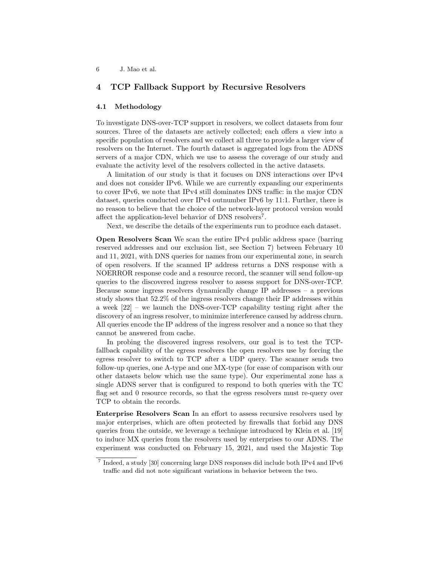### 4 TCP Fallback Support by Recursive Resolvers

#### 4.1 Methodology

To investigate DNS-over-TCP support in resolvers, we collect datasets from four sources. Three of the datasets are actively collected; each offers a view into a specific population of resolvers and we collect all three to provide a larger view of resolvers on the Internet. The fourth dataset is aggregated logs from the ADNS servers of a major CDN, which we use to assess the coverage of our study and evaluate the activity level of the resolvers collected in the active datasets.

A limitation of our study is that it focuses on DNS interactions over IPv4 and does not consider IPv6. While we are currently expanding our experiments to cover IPv6, we note that IPv4 still dominates DNS traffic: in the major CDN dataset, queries conducted over IPv4 outnumber IPv6 by 11:1. Further, there is no reason to believe that the choice of the network-layer protocol version would affect the application-level behavior of DNS resolvers<sup>7</sup>.

Next, we describe the details of the experiments run to produce each dataset.

Open Resolvers Scan We scan the entire IPv4 public address space (barring reserved addresses and our exclusion list, see Section 7) between February 10 and 11, 2021, with DNS queries for names from our experimental zone, in search of open resolvers. If the scanned IP address returns a DNS response with a NOERROR response code and a resource record, the scanner will send follow-up queries to the discovered ingress resolver to assess support for DNS-over-TCP. Because some ingress resolvers dynamically change IP addresses – a previous study shows that 52.2% of the ingress resolvers change their IP addresses within a week [22] – we launch the DNS-over-TCP capability testing right after the discovery of an ingress resolver, to minimize interference caused by address churn. All queries encode the IP address of the ingress resolver and a nonce so that they cannot be answered from cache.

In probing the discovered ingress resolvers, our goal is to test the TCPfallback capability of the egress resolvers the open resolvers use by forcing the egress resolver to switch to TCP after a UDP query. The scanner sends two follow-up queries, one A-type and one MX-type (for ease of comparison with our other datasets below which use the same type). Our experimental zone has a single ADNS server that is configured to respond to both queries with the TC flag set and 0 resource records, so that the egress resolvers must re-query over TCP to obtain the records.

Enterprise Resolvers Scan In an effort to assess recursive resolvers used by major enterprises, which are often protected by firewalls that forbid any DNS queries from the outside, we leverage a technique introduced by Klein et al. [19] to induce MX queries from the resolvers used by enterprises to our ADNS. The experiment was conducted on February 15, 2021, and used the Majestic Top

<sup>7</sup> Indeed, a study [30] concerning large DNS responses did include both IPv4 and IPv6 traffic and did not note significant variations in behavior between the two.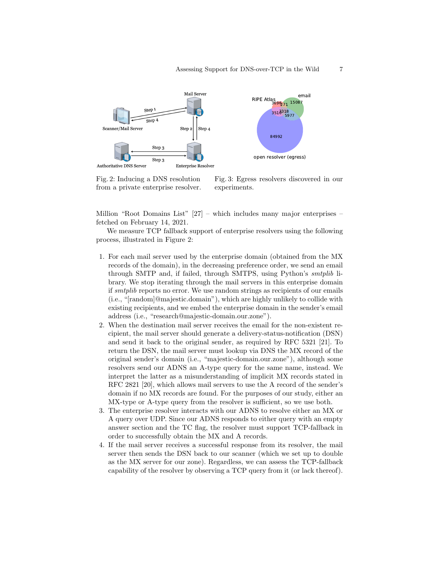

Fig. 2: Inducing a DNS resolution from a private enterprise resolver.

Fig. 3: Egress resolvers discovered in our experiments.

Million "Root Domains List"  $[27]$  – which includes many major enterprises – fetched on February 14, 2021.

We measure TCP fallback support of enterprise resolvers using the following process, illustrated in Figure 2:

- 1. For each mail server used by the enterprise domain (obtained from the MX records of the domain), in the decreasing preference order, we send an email through SMTP and, if failed, through SMTPS, using Python's smtplib library. We stop iterating through the mail servers in this enterprise domain if smtplib reports no error. We use random strings as recipients of our emails (i.e., "[random]@majestic.domain"), which are highly unlikely to collide with existing recipients, and we embed the enterprise domain in the sender's email address (i.e., "research@majestic-domain.our.zone").
- 2. When the destination mail server receives the email for the non-existent recipient, the mail server should generate a delivery-status-notification (DSN) and send it back to the original sender, as required by RFC 5321 [21]. To return the DSN, the mail server must lookup via DNS the MX record of the original sender's domain (i.e., "majestic-domain.our.zone"), although some resolvers send our ADNS an A-type query for the same name, instead. We interpret the latter as a misunderstanding of implicit MX records stated in RFC 2821 [20], which allows mail servers to use the A record of the sender's domain if no MX records are found. For the purposes of our study, either an MX-type or A-type query from the resolver is sufficient, so we use both.
- 3. The enterprise resolver interacts with our ADNS to resolve either an MX or A query over UDP. Since our ADNS responds to either query with an empty answer section and the TC flag, the resolver must support TCP-fallback in order to successfully obtain the MX and A records.
- 4. If the mail server receives a successful response from its resolver, the mail server then sends the DSN back to our scanner (which we set up to double as the MX server for our zone). Regardless, we can assess the TCP-fallback capability of the resolver by observing a TCP query from it (or lack thereof).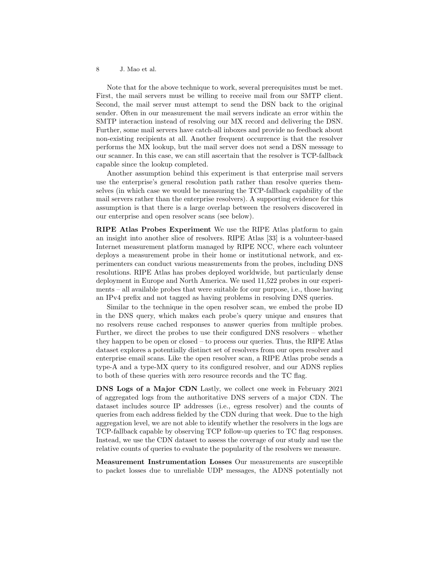Note that for the above technique to work, several prerequisites must be met. First, the mail servers must be willing to receive mail from our SMTP client. Second, the mail server must attempt to send the DSN back to the original sender. Often in our measurement the mail servers indicate an error within the SMTP interaction instead of resolving our MX record and delivering the DSN. Further, some mail servers have catch-all inboxes and provide no feedback about non-existing recipients at all. Another frequent occurrence is that the resolver performs the MX lookup, but the mail server does not send a DSN message to our scanner. In this case, we can still ascertain that the resolver is TCP-fallback capable since the lookup completed.

Another assumption behind this experiment is that enterprise mail servers use the enterprise's general resolution path rather than resolve queries themselves (in which case we would be measuring the TCP-fallback capability of the mail servers rather than the enterprise resolvers). A supporting evidence for this assumption is that there is a large overlap between the resolvers discovered in our enterprise and open resolver scans (see below).

RIPE Atlas Probes Experiment We use the RIPE Atlas platform to gain an insight into another slice of resolvers. RIPE Atlas [33] is a volunteer-based Internet measurement platform managed by RIPE NCC, where each volunteer deploys a measurement probe in their home or institutional network, and experimenters can conduct various measurements from the probes, including DNS resolutions. RIPE Atlas has probes deployed worldwide, but particularly dense deployment in Europe and North America. We used 11,522 probes in our experiments – all available probes that were suitable for our purpose, i.e., those having an IPv4 prefix and not tagged as having problems in resolving DNS queries.

Similar to the technique in the open resolver scan, we embed the probe ID in the DNS query, which makes each probe's query unique and ensures that no resolvers reuse cached responses to answer queries from multiple probes. Further, we direct the probes to use their configured DNS resolvers – whether they happen to be open or closed – to process our queries. Thus, the RIPE Atlas dataset explores a potentially distinct set of resolvers from our open resolver and enterprise email scans. Like the open resolver scan, a RIPE Atlas probe sends a type-A and a type-MX query to its configured resolver, and our ADNS replies to both of these queries with zero resource records and the TC flag.

DNS Logs of a Major CDN Lastly, we collect one week in February 2021 of aggregated logs from the authoritative DNS servers of a major CDN. The dataset includes source IP addresses (i.e., egress resolver) and the counts of queries from each address fielded by the CDN during that week. Due to the high aggregation level, we are not able to identify whether the resolvers in the logs are TCP-fallback capable by observing TCP follow-up queries to TC flag responses. Instead, we use the CDN dataset to assess the coverage of our study and use the relative counts of queries to evaluate the popularity of the resolvers we measure.

Measurement Instrumentation Losses Our measurements are susceptible to packet losses due to unreliable UDP messages, the ADNS potentially not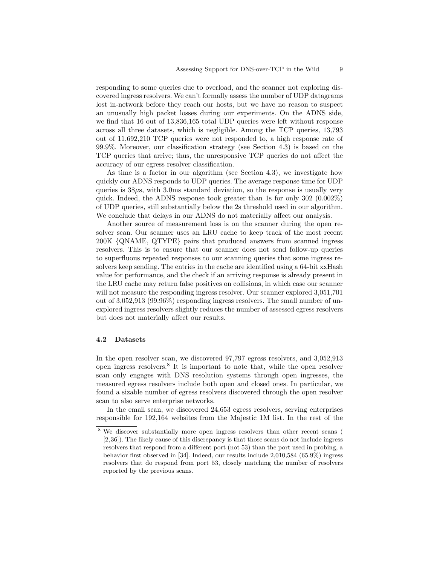responding to some queries due to overload, and the scanner not exploring discovered ingress resolvers. We can't formally assess the number of UDP datagrams lost in-network before they reach our hosts, but we have no reason to suspect an unusually high packet losses during our experiments. On the ADNS side, we find that 16 out of 13,836,165 total UDP queries were left without response across all three datasets, which is negligible. Among the TCP queries, 13,793 out of 11,692,210 TCP queries were not responded to, a high response rate of 99.9%. Moreover, our classification strategy (see Section 4.3) is based on the TCP queries that arrive; thus, the unresponsive TCP queries do not affect the accuracy of our egress resolver classification.

As time is a factor in our algorithm (see Section 4.3), we investigate how quickly our ADNS responds to UDP queries. The average response time for UDP queries is  $38\mu s$ , with 3.0ms standard deviation, so the response is usually very quick. Indeed, the ADNS response took greater than 1s for only 302 (0.002%) of UDP queries, still substantially below the 2s threshold used in our algorithm. We conclude that delays in our ADNS do not materially affect our analysis.

Another source of measurement loss is on the scanner during the open resolver scan. Our scanner uses an LRU cache to keep track of the most recent 200K {QNAME, QTYPE} pairs that produced answers from scanned ingress resolvers. This is to ensure that our scanner does not send follow-up queries to superfluous repeated responses to our scanning queries that some ingress resolvers keep sending. The entries in the cache are identified using a 64-bit xxHash value for performance, and the check if an arriving response is already present in the LRU cache may return false positives on collisions, in which case our scanner will not measure the responding ingress resolver. Our scanner explored 3,051,701 out of 3,052,913 (99.96%) responding ingress resolvers. The small number of unexplored ingress resolvers slightly reduces the number of assessed egress resolvers but does not materially affect our results.

#### 4.2 Datasets

In the open resolver scan, we discovered 97,797 egress resolvers, and 3,052,913 open ingress resolvers.<sup>8</sup> It is important to note that, while the open resolver scan only engages with DNS resolution systems through open ingresses, the measured egress resolvers include both open and closed ones. In particular, we found a sizable number of egress resolvers discovered through the open resolver scan to also serve enterprise networks.

In the email scan, we discovered 24,653 egress resolvers, serving enterprises responsible for 192,164 websites from the Majestic 1M list. In the rest of the

<sup>8</sup> We discover substantially more open ingress resolvers than other recent scans ( [2,36]). The likely cause of this discrepancy is that those scans do not include ingress resolvers that respond from a different port (not 53) than the port used in probing, a behavior first observed in [34]. Indeed, our results include 2,010,584 (65.9%) ingress resolvers that do respond from port 53, closely matching the number of resolvers reported by the previous scans.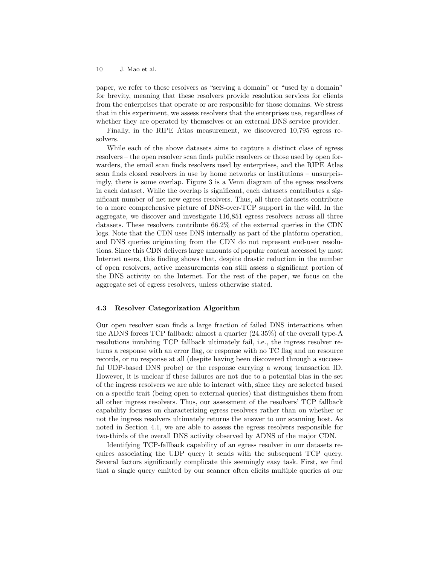paper, we refer to these resolvers as "serving a domain" or "used by a domain" for brevity, meaning that these resolvers provide resolution services for clients from the enterprises that operate or are responsible for those domains. We stress that in this experiment, we assess resolvers that the enterprises use, regardless of whether they are operated by themselves or an external DNS service provider.

Finally, in the RIPE Atlas measurement, we discovered 10,795 egress resolvers.

While each of the above datasets aims to capture a distinct class of egress resolvers – the open resolver scan finds public resolvers or those used by open forwarders, the email scan finds resolvers used by enterprises, and the RIPE Atlas scan finds closed resolvers in use by home networks or institutions – unsurprisingly, there is some overlap. Figure 3 is a Venn diagram of the egress resolvers in each dataset. While the overlap is significant, each datasets contributes a significant number of net new egress resolvers. Thus, all three datasets contribute to a more comprehensive picture of DNS-over-TCP support in the wild. In the aggregate, we discover and investigate 116,851 egress resolvers across all three datasets. These resolvers contribute 66.2% of the external queries in the CDN logs. Note that the CDN uses DNS internally as part of the platform operation, and DNS queries originating from the CDN do not represent end-user resolutions. Since this CDN delivers large amounts of popular content accessed by most Internet users, this finding shows that, despite drastic reduction in the number of open resolvers, active measurements can still assess a significant portion of the DNS activity on the Internet. For the rest of the paper, we focus on the aggregate set of egress resolvers, unless otherwise stated.

#### 4.3 Resolver Categorization Algorithm

Our open resolver scan finds a large fraction of failed DNS interactions when the ADNS forces TCP fallback: almost a quarter (24.35%) of the overall type-A resolutions involving TCP fallback ultimately fail, i.e., the ingress resolver returns a response with an error flag, or response with no TC flag and no resource records, or no response at all (despite having been discovered through a successful UDP-based DNS probe) or the response carrying a wrong transaction ID. However, it is unclear if these failures are not due to a potential bias in the set of the ingress resolvers we are able to interact with, since they are selected based on a specific trait (being open to external queries) that distinguishes them from all other ingress resolvers. Thus, our assessment of the resolvers' TCP fallback capability focuses on characterizing egress resolvers rather than on whether or not the ingress resolvers ultimately returns the answer to our scanning host. As noted in Section 4.1, we are able to assess the egress resolvers responsible for two-thirds of the overall DNS activity observed by ADNS of the major CDN.

Identifying TCP-fallback capability of an egress resolver in our datasets requires associating the UDP query it sends with the subsequent TCP query. Several factors significantly complicate this seemingly easy task. First, we find that a single query emitted by our scanner often elicits multiple queries at our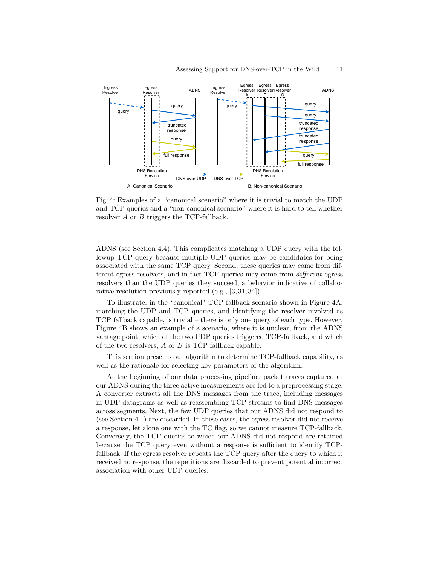

Fig. 4: Examples of a "canonical scenario" where it is trivial to match the UDP and TCP queries and a "non-canonical scenario" where it is hard to tell whether resolver A or B triggers the TCP-fallback.

ADNS (see Section 4.4). This complicates matching a UDP query with the followup TCP query because multiple UDP queries may be candidates for being associated with the same TCP query. Second, these queries may come from different egress resolvers, and in fact TCP queries may come from different egress resolvers than the UDP queries they succeed, a behavior indicative of collaborative resolution previously reported (e.g., [3, 31, 34]).

To illustrate, in the "canonical" TCP fallback scenario shown in Figure 4A, matching the UDP and TCP queries, and identifying the resolver involved as TCP fallback capable, is trivial – there is only one query of each type. However, Figure 4B shows an example of a scenario, where it is unclear, from the ADNS vantage point, which of the two UDP queries triggered TCP-fallback, and which of the two resolvers,  $A$  or  $B$  is TCP fallback capable.

This section presents our algorithm to determine TCP-fallback capability, as well as the rationale for selecting key parameters of the algorithm.

At the beginning of our data processing pipeline, packet traces captured at our ADNS during the three active measurements are fed to a preprocessing stage. A converter extracts all the DNS messages from the trace, including messages in UDP datagrams as well as reassembling TCP streams to find DNS messages across segments. Next, the few UDP queries that our ADNS did not respond to (see Section 4.1) are discarded. In these cases, the egress resolver did not receive a response, let alone one with the TC flag, so we cannot measure TCP-fallback. Conversely, the TCP queries to which our ADNS did not respond are retained because the TCP query even without a response is sufficient to identify TCPfallback. If the egress resolver repeats the TCP query after the query to which it received no response, the repetitions are discarded to prevent potential incorrect association with other UDP queries.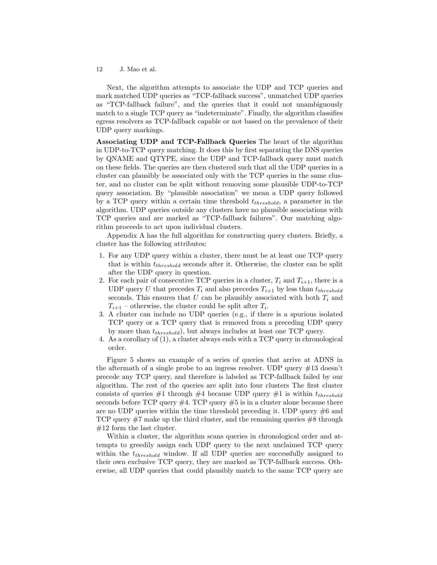Next, the algorithm attempts to associate the UDP and TCP queries and mark matched UDP queries as "TCP-fallback success", unmatched UDP queries as "TCP-fallback failure", and the queries that it could not unambiguously match to a single TCP query as "indeterminate". Finally, the algorithm classifies egress resolvers as TCP-fallback capable or not based on the prevalence of their UDP query markings.

Associating UDP and TCP-Fallback Queries The heart of the algorithm in UDP-to-TCP query matching. It does this by first separating the DNS queries by QNAME and QTYPE, since the UDP and TCP-fallback query must match on these fields. The queries are then clustered such that all the UDP queries in a cluster can plausibly be associated only with the TCP queries in the same cluster, and no cluster can be split without removing some plausible UDP-to-TCP query association. By "plausible association" we mean a UDP query followed by a TCP query within a certain time threshold  $t_{threshold}$ , a parameter in the algorithm. UDP queries outside any clusters have no plausible associations with TCP queries and are marked as "TCP-fallback failures". Our matching algorithm proceeds to act upon individual clusters.

Appendix A has the full algorithm for constructing query clusters. Briefly, a cluster has the following attributes:

- 1. For any UDP query within a cluster, there must be at least one TCP query that is within  $t_{threshold}$  seconds after it. Otherwise, the cluster can be split after the UDP query in question.
- 2. For each pair of consecutive TCP queries in a cluster,  $T_i$  and  $T_{i+1}$ , there is a UDP query U that precedes  $T_i$  and also precedes  $T_{i+1}$  by less than  $t_{threshold}$ seconds. This ensures that  $U$  can be plausibly associated with both  $T_i$  and  $T_{i+1}$  – otherwise, the cluster could be split after  $T_i$ .
- 3. A cluster can include no UDP queries (e.g., if there is a spurious isolated TCP query or a TCP query that is removed from a preceding UDP query by more than  $t_{threshold}$ , but always includes at least one TCP query.
- 4. As a corollary of (1), a cluster always ends with a TCP query in chronological order.

Figure 5 shows an example of a series of queries that arrive at ADNS in the aftermath of a single probe to an ingress resolver. UDP query  $#13$  doesn't precede any TCP query, and therefore is labeled as TCP-fallback failed by our algorithm. The rest of the queries are split into four clusters The first cluster consists of queries  $\#1$  through  $\#4$  because UDP query  $\#1$  is within  $t_{threshold}$ seconds before TCP query  $#4$ . TCP query  $#5$  is in a cluster alone because there are no UDP queries within the time threshold preceding it. UDP query #6 and TCP query  $#7$  make up the third cluster, and the remaining queries  $#8$  through  $#12$  form the last cluster.

Within a cluster, the algorithm scans queries in chronological order and attempts to greedily assign each UDP query to the next unclaimed TCP query within the  $t_{threshold}$  window. If all UDP queries are successfully assigned to their own exclusive TCP query, they are marked as TCP-fallback success. Otherwise, all UDP queries that could plausibly match to the same TCP query are

<sup>12</sup> J. Mao et al.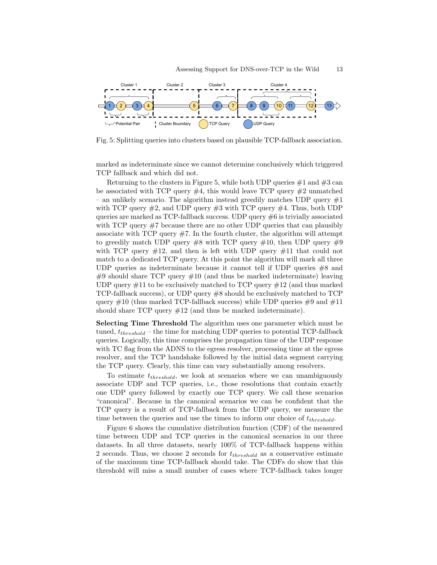

Fig. 5: Splitting queries into clusters based on plausible TCP-fallback association.

marked as indeterminate since we cannot determine conclusively which triggered TCP fallback and which did not.

Returning to the clusters in Figure 5, while both UDP queries  $\#1$  and  $\#3$  can be associated with TCP query  $#4$ , this would leave TCP query  $#2$  unmatched – an unlikely scenario. The algorithm instead greedily matches UDP query  $#1$ with TCP query  $#2$ , and UDP query  $#3$  with TCP query  $#4$ . Thus, both UDP queries are marked as TCP-fallback success. UDP query  $\#6$  is trivially associated with TCP query  $#7$  because there are no other UDP queries that can plausibly associate with TCP query  $#7$ . In the fourth cluster, the algorithm will attempt to greedily match UDP query  $#8$  with TCP query  $#10$ , then UDP query  $#9$ with TCP query  $#12$ , and then is left with UDP query  $#11$  that could not match to a dedicated TCP query. At this point the algorithm will mark all three UDP queries as indeterminate because it cannot tell if UDP queries #8 and  $\#9$  should share TCP query  $\#10$  (and thus be marked indeterminate) leaving UDP query  $\#11$  to be exclusively matched to TCP query  $\#12$  (and thus marked TCP-fallback success), or UDP query #8 should be exclusively matched to TCP query  $\#10$  (thus marked TCP-fallback success) while UDP queries  $\#9$  and  $\#11$ should share TCP query #12 (and thus be marked indeterminate).

Selecting Time Threshold The algorithm uses one parameter which must be tuned,  $t_{threshold}$  – the time for matching UDP queries to potential TCP-fallback queries. Logically, this time comprises the propagation time of the UDP response with TC flag from the ADNS to the egress resolver, processing time at the egress resolver, and the TCP handshake followed by the initial data segment carrying the TCP query. Clearly, this time can vary substantially among resolvers.

To estimate  $t_{threshold}$ , we look at scenarios where we can unambiguously associate UDP and TCP queries, i.e., those resolutions that contain exactly one UDP query followed by exactly one TCP query. We call these scenarios "canonical". Because in the canonical scenarios we can be confident that the TCP query is a result of TCP-fallback from the UDP query, we measure the time between the queries and use the times to inform our choice of  $t_{threshold}$ .

Figure 6 shows the cumulative distribution function (CDF) of the measured time between UDP and TCP queries in the canonical scenarios in our three datasets. In all three datasets, nearly 100% of TCP-fallback happens within 2 seconds. Thus, we choose 2 seconds for  $t_{threshold}$  as a conservative estimate of the maximum time TCP-fallback should take. The CDFs do show that this threshold will miss a small number of cases where TCP-fallback takes longer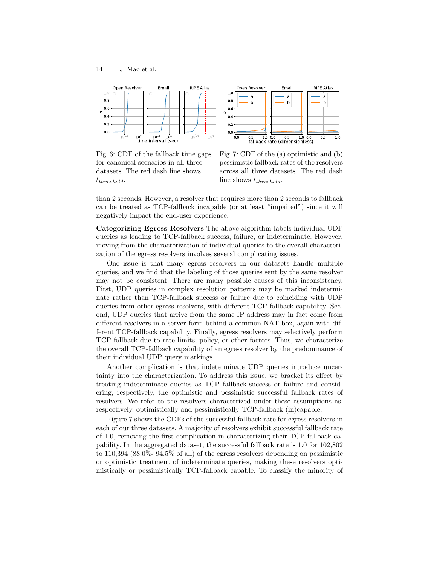



Fig. 6: CDF of the fallback time gaps for canonical scenarios in all three datasets. The red dash line shows  $t_{threshold}$ .

Fig. 7: CDF of the (a) optimistic and (b) pessimistic fallback rates of the resolvers across all three datasets. The red dash line shows  $t_{threshold}$ .

than 2 seconds. However, a resolver that requires more than 2 seconds to fallback can be treated as TCP-fallback incapable (or at least "impaired") since it will negatively impact the end-user experience.

Categorizing Egress Resolvers The above algorithm labels individual UDP queries as leading to TCP-fallback success, failure, or indeterminate. However, moving from the characterization of individual queries to the overall characterization of the egress resolvers involves several complicating issues.

One issue is that many egress resolvers in our datasets handle multiple queries, and we find that the labeling of those queries sent by the same resolver may not be consistent. There are many possible causes of this inconsistency. First, UDP queries in complex resolution patterns may be marked indeterminate rather than TCP-fallback success or failure due to coinciding with UDP queries from other egress resolvers, with different TCP fallback capability. Second, UDP queries that arrive from the same IP address may in fact come from different resolvers in a server farm behind a common NAT box, again with different TCP-fallback capability. Finally, egress resolvers may selectively perform TCP-fallback due to rate limits, policy, or other factors. Thus, we characterize the overall TCP-fallback capability of an egress resolver by the predominance of their individual UDP query markings.

Another complication is that indeterminate UDP queries introduce uncertainty into the characterization. To address this issue, we bracket its effect by treating indeterminate queries as TCP fallback-success or failure and considering, respectively, the optimistic and pessimistic successful fallback rates of resolvers. We refer to the resolvers characterized under these assumptions as, respectively, optimistically and pessimistically TCP-fallback (in)capable.

Figure 7 shows the CDFs of the successful fallback rate for egress resolvers in each of our three datasets. A majority of resolvers exhibit successful fallback rate of 1.0, removing the first complication in characterizing their TCP fallback capability. In the aggregated dataset, the successful fallback rate is 1.0 for 102,802 to 110,394 (88.0%- 94.5% of all) of the egress resolvers depending on pessimistic or optimistic treatment of indeterminate queries, making these resolvers optimistically or pessimistically TCP-fallback capable. To classify the minority of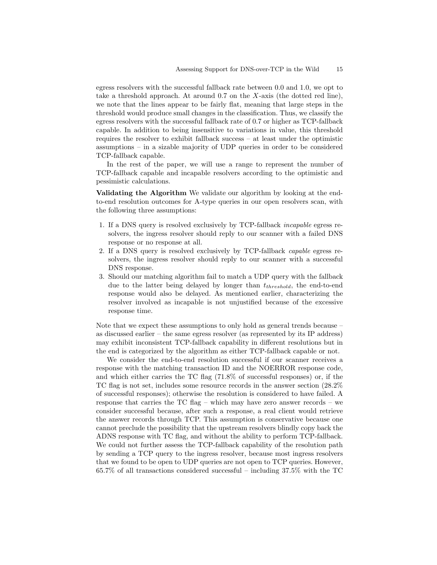egress resolvers with the successful fallback rate between 0.0 and 1.0, we opt to take a threshold approach. At around  $0.7$  on the X-axis (the dotted red line), we note that the lines appear to be fairly flat, meaning that large steps in the threshold would produce small changes in the classification. Thus, we classify the egress resolvers with the successful fallback rate of 0.7 or higher as TCP-fallback capable. In addition to being insensitive to variations in value, this threshold requires the resolver to exhibit fallback success – at least under the optimistic assumptions – in a sizable majority of UDP queries in order to be considered TCP-fallback capable.

In the rest of the paper, we will use a range to represent the number of TCP-fallback capable and incapable resolvers according to the optimistic and pessimistic calculations.

Validating the Algorithm We validate our algorithm by looking at the endto-end resolution outcomes for A-type queries in our open resolvers scan, with the following three assumptions:

- 1. If a DNS query is resolved exclusively by TCP-fallback incapable egress resolvers, the ingress resolver should reply to our scanner with a failed DNS response or no response at all.
- 2. If a DNS query is resolved exclusively by TCP-fallback capable egress resolvers, the ingress resolver should reply to our scanner with a successful DNS response.
- 3. Should our matching algorithm fail to match a UDP query with the fallback due to the latter being delayed by longer than  $t_{threshold}$ , the end-to-end response would also be delayed. As mentioned earlier, characterizing the resolver involved as incapable is not unjustified because of the excessive response time.

Note that we expect these assumptions to only hold as general trends because – as discussed earlier – the same egress resolver (as represented by its IP address) may exhibit inconsistent TCP-fallback capability in different resolutions but in the end is categorized by the algorithm as either TCP-fallback capable or not.

We consider the end-to-end resolution successful if our scanner receives a response with the matching transaction ID and the NOERROR response code, and which either carries the TC flag (71.8% of successful responses) or, if the TC flag is not set, includes some resource records in the answer section (28.2% of successful responses); otherwise the resolution is considered to have failed. A response that carries the TC flag – which may have zero answer records – we consider successful because, after such a response, a real client would retrieve the answer records through TCP. This assumption is conservative because one cannot preclude the possibility that the upstream resolvers blindly copy back the ADNS response with TC flag, and without the ability to perform TCP-fallback. We could not further assess the TCP-fallback capability of the resolution path by sending a TCP query to the ingress resolver, because most ingress resolvers that we found to be open to UDP queries are not open to TCP queries. However, 65.7% of all transactions considered successful – including 37.5% with the TC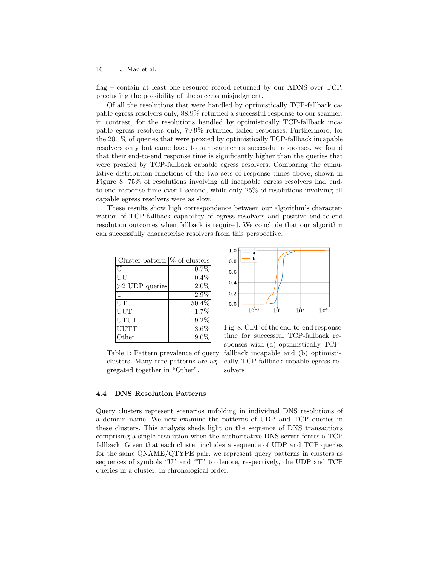flag – contain at least one resource record returned by our ADNS over TCP, precluding the possibility of the success misjudgment.

Of all the resolutions that were handled by optimistically TCP-fallback capable egress resolvers only, 88.9% returned a successful response to our scanner; in contrast, for the resolutions handled by optimistically TCP-fallback incapable egress resolvers only, 79.9% returned failed responses. Furthermore, for the 20.1% of queries that were proxied by optimistically TCP-fallback incapable resolvers only but came back to our scanner as successful responses, we found that their end-to-end response time is significantly higher than the queries that were proxied by TCP-fallback capable egress resolvers. Comparing the cumulative distribution functions of the two sets of response times above, shown in Figure 8, 75% of resolutions involving all incapable egress resolvers had endto-end response time over 1 second, while only 25% of resolutions involving all capable egress resolvers were as slow.

These results show high correspondence between our algorithm's characterization of TCP-fallback capability of egress resolvers and positive end-to-end resolution outcomes when fallback is required. We conclude that our algorithm can successfully characterize resolvers from this perspective.

| Cluster pattern  | $\%$ of clusters |
|------------------|------------------|
|                  | 0.7%             |
| UU               | 0.4%             |
| $>2$ UDP queries | 2.0%             |
| Т                | $2.9\%$          |
| UT               | $50.4\%$         |
| <b>UUT</b>       | 1.7%             |
| UTUT             | 19.2%            |
| <b>UUTT</b>      | $13.6\%$         |
| Other            |                  |

Table 1: Pattern prevalence of query clusters. Many rare patterns are aggregated together in "Other".



Fig. 8: CDF of the end-to-end response time for successful TCP-fallback responses with (a) optimistically TCPfallback incapable and (b) optimistically TCP-fallback capable egress resolvers

#### 4.4 DNS Resolution Patterns

Query clusters represent scenarios unfolding in individual DNS resolutions of a domain name. We now examine the patterns of UDP and TCP queries in these clusters. This analysis sheds light on the sequence of DNS transactions comprising a single resolution when the authoritative DNS server forces a TCP fallback. Given that each cluster includes a sequence of UDP and TCP queries for the same QNAME/QTYPE pair, we represent query patterns in clusters as sequences of symbols "U" and "T" to denote, respectively, the UDP and TCP queries in a cluster, in chronological order.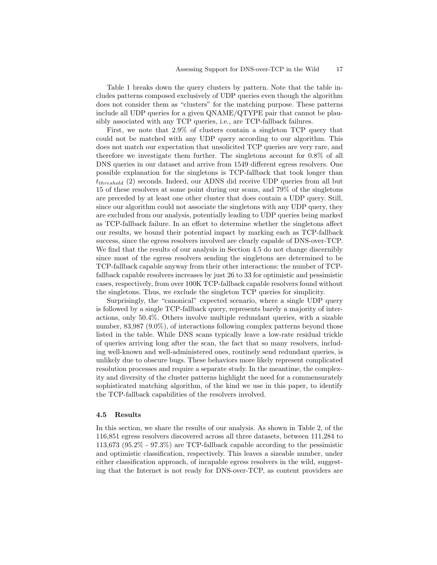Table 1 breaks down the query clusters by pattern. Note that the table includes patterns composed exclusively of UDP queries even though the algorithm does not consider them as "clusters" for the matching purpose. These patterns include all UDP queries for a given QNAME/QTYPE pair that cannot be plausibly associated with any TCP queries, i.e., are TCP-fallback failures.

First, we note that 2.9% of clusters contain a singleton TCP query that could not be matched with any UDP query according to our algorithm. This does not match our expectation that unsolicited TCP queries are very rare, and therefore we investigate them further. The singletons account for 0.8% of all DNS queries in our dataset and arrive from 1549 different egress resolvers. One possible explanation for the singletons is TCP-fallback that took longer than  $t_{threshold}$  (2) seconds. Indeed, our ADNS did receive UDP queries from all but 15 of these resolvers at some point during our scans, and 79% of the singletons are preceded by at least one other cluster that does contain a UDP query. Still, since our algorithm could not associate the singletons with any UDP query, they are excluded from our analysis, potentially leading to UDP queries being marked as TCP-fallback failure. In an effort to determine whether the singletons affect our results, we bound their potential impact by marking each as TCP-fallback success, since the egress resolvers involved are clearly capable of DNS-over-TCP. We find that the results of our analysis in Section 4.5 do not change discernibly since most of the egress resolvers sending the singletons are determined to be TCP-fallback capable anyway from their other interactions: the number of TCPfallback capable resolvers increases by just 26 to 33 for optimistic and pessimistic cases, respectively, from over 100K TCP-fallback capable resolvers found without the singletons. Thus, we exclude the singleton TCP queries for simplicity.

Surprisingly, the "canonical" expected scenario, where a single UDP query is followed by a single TCP-fallback query, represents barely a majority of interactions, only 50.4%. Others involve multiple redundant queries, with a sizable number, 83,987 (9.0%), of interactions following complex patterns beyond those listed in the table. While DNS scans typically leave a low-rate residual trickle of queries arriving long after the scan, the fact that so many resolvers, including well-known and well-administered ones, routinely send redundant queries, is unlikely due to obscure bugs. These behaviors more likely represent complicated resolution processes and require a separate study. In the meantime, the complexity and diversity of the cluster patterns highlight the need for a commensurately sophisticated matching algorithm, of the kind we use in this paper, to identify the TCP-fallback capabilities of the resolvers involved.

#### 4.5 Results

In this section, we share the results of our analysis. As shown in Table 2, of the 116,851 egress resolvers discovered across all three datasets, between 111,284 to 113,673 (95.2% - 97.3%) are TCP-fallback capable according to the pessimistic and optimistic classification, respectively. This leaves a sizeable number, under either classification approach, of incapable egress resolvers in the wild, suggesting that the Internet is not ready for DNS-over-TCP, as content providers are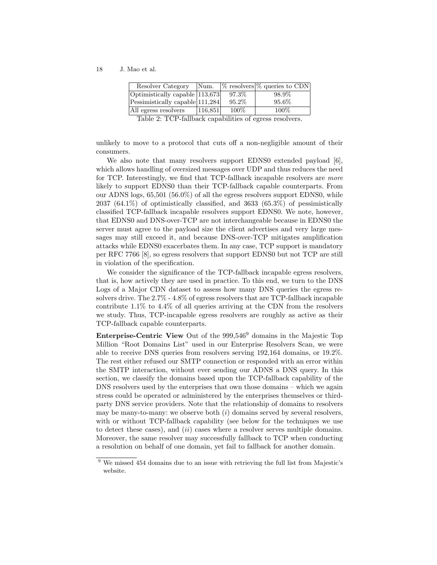| Resolver Category                                     | Num.    |       | $\%$ resolvers $\%$ queries to CDN |
|-------------------------------------------------------|---------|-------|------------------------------------|
| Optimistically capable $\vert\overline{113,673}\vert$ |         | 97.3% | 98.9%                              |
| Pessimistically capable 111,284                       |         | 95.2% | 95.6%                              |
| All egress resolvers                                  | 116.851 | 100\% | 100\%                              |

Table 2: TCP-fallback capabilities of egress resolvers.

unlikely to move to a protocol that cuts off a non-negligible amount of their consumers.

We also note that many resolvers support EDNS0 extended payload [6], which allows handling of oversized messages over UDP and thus reduces the need for TCP. Interestingly, we find that TCP-fallback incapable resolvers are more likely to support EDNS0 than their TCP-fallback capable counterparts. From our ADNS logs, 65,501 (56.0%) of all the egress resolvers support EDNS0, while 2037 (64.1%) of optimistically classified, and 3633 (65.3%) of pessimistically classified TCP-fallback incapable resolvers support EDNS0. We note, however, that EDNS0 and DNS-over-TCP are not interchangeable because in EDNS0 the server must agree to the payload size the client advertises and very large messages may still exceed it, and because DNS-over-TCP mitigates amplification attacks while EDNS0 exacerbates them. In any case, TCP support is mandatory per RFC 7766 [8], so egress resolvers that support EDNS0 but not TCP are still in violation of the specification.

We consider the significance of the TCP-fallback incapable egress resolvers, that is, how actively they are used in practice. To this end, we turn to the DNS Logs of a Major CDN dataset to assess how many DNS queries the egress resolvers drive. The 2.7% - 4.8% of egress resolvers that are TCP-fallback incapable contribute 1.1% to 4.4% of all queries arriving at the CDN from the resolvers we study. Thus, TCP-incapable egress resolvers are roughly as active as their TCP-fallback capable counterparts.

Enterprise-Centric View Out of the 999,546<sup>9</sup> domains in the Majestic Top Million "Root Domains List" used in our Enterprise Resolvers Scan, we were able to receive DNS queries from resolvers serving 192,164 domains, or 19.2%. The rest either refused our SMTP connection or responded with an error within the SMTP interaction, without ever sending our ADNS a DNS query. In this section, we classify the domains based upon the TCP-fallback capability of the DNS resolvers used by the enterprises that own those domains – which we again stress could be operated or administered by the enterprises themselves or thirdparty DNS service providers. Note that the relationship of domains to resolvers may be many-to-many: we observe both  $(i)$  domains served by several resolvers, with or without TCP-fallback capability (see below for the techniques we use to detect these cases), and  $(ii)$  cases where a resolver serves multiple domains. Moreover, the same resolver may successfully fallback to TCP when conducting a resolution on behalf of one domain, yet fail to fallback for another domain.

<sup>9</sup> We missed 454 domains due to an issue with retrieving the full list from Majestic's website.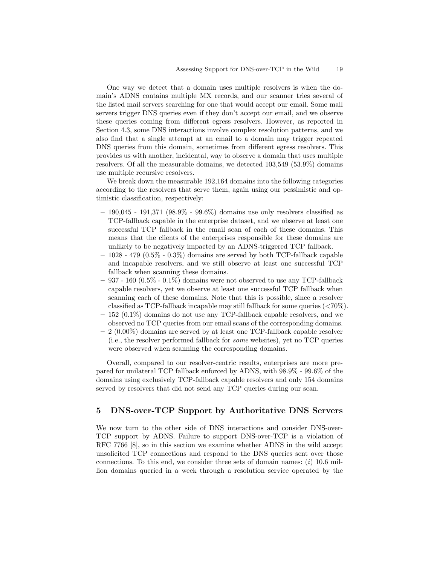One way we detect that a domain uses multiple resolvers is when the domain's ADNS contains multiple MX records, and our scanner tries several of the listed mail servers searching for one that would accept our email. Some mail servers trigger DNS queries even if they don't accept our email, and we observe these queries coming from different egress resolvers. However, as reported in Section 4.3, some DNS interactions involve complex resolution patterns, and we also find that a single attempt at an email to a domain may trigger repeated DNS queries from this domain, sometimes from different egress resolvers. This provides us with another, incidental, way to observe a domain that uses multiple resolvers. Of all the measurable domains, we detected 103,549 (53.9%) domains use multiple recursive resolvers.

We break down the measurable 192,164 domains into the following categories according to the resolvers that serve them, again using our pessimistic and optimistic classification, respectively:

- $-190,045 191,371$  (98.9% 99.6%) domains use only resolvers classified as TCP-fallback capable in the enterprise dataset, and we observe at least one successful TCP fallback in the email scan of each of these domains. This means that the clients of the enterprises responsible for these domains are unlikely to be negatively impacted by an ADNS-triggered TCP fallback.
- 1028 479 (0.5% 0.3%) domains are served by both TCP-fallback capable and incapable resolvers, and we still observe at least one successful TCP fallback when scanning these domains.
- $-937 160 (0.5\% 0.1\%)$  domains were not observed to use any TCP-fallback capable resolvers, yet we observe at least one successful TCP fallback when scanning each of these domains. Note that this is possible, since a resolver classified as TCP-fallback incapable may still fallback for some queries (<70%).
- 152 (0.1%) domains do not use any TCP-fallback capable resolvers, and we observed no TCP queries from our email scans of the corresponding domains.
- $-2(0.00\%)$  domains are served by at least one TCP-fallback capable resolver (i.e., the resolver performed fallback for some websites), yet no TCP queries were observed when scanning the corresponding domains.

Overall, compared to our resolver-centric results, enterprises are more prepared for unilateral TCP fallback enforced by ADNS, with 98.9% - 99.6% of the domains using exclusively TCP-fallback capable resolvers and only 154 domains served by resolvers that did not send any TCP queries during our scan.

### 5 DNS-over-TCP Support by Authoritative DNS Servers

We now turn to the other side of DNS interactions and consider DNS-over-TCP support by ADNS. Failure to support DNS-over-TCP is a violation of RFC 7766 [8], so in this section we examine whether ADNS in the wild accept unsolicited TCP connections and respond to the DNS queries sent over those connections. To this end, we consider three sets of domain names:  $(i)$  10.6 million domains queried in a week through a resolution service operated by the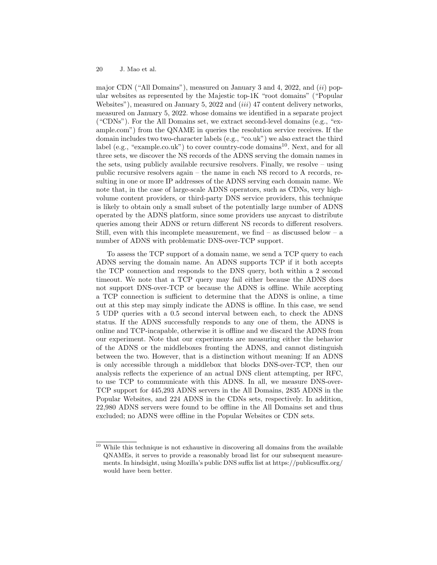major CDN ("All Domains"), measured on January 3 and 4, 2022, and  $(ii)$  popular websites as represented by the Majestic top-1K "root domains" ("Popular Websites"), measured on January 5, 2022 and *(iii)* 47 content delivery networks, measured on January 5, 2022. whose domains we identified in a separate project ("CDNs"). For the All Domains set, we extract second-level domains (e.g., "example.com") from the QNAME in queries the resolution service receives. If the domain includes two two-character labels (e.g., "co.uk") we also extract the third label (e.g., "example.co.uk") to cover country-code domains<sup>10</sup>. Next, and for all three sets, we discover the NS records of the ADNS serving the domain names in the sets, using publicly available recursive resolvers. Finally, we resolve – using public recursive resolvers again – the name in each NS record to A records, resulting in one or more IP addresses of the ADNS serving each domain name. We note that, in the case of large-scale ADNS operators, such as CDNs, very highvolume content providers, or third-party DNS service providers, this technique is likely to obtain only a small subset of the potentially large number of ADNS operated by the ADNS platform, since some providers use anycast to distribute queries among their ADNS or return different NS records to different resolvers. Still, even with this incomplete measurement, we find  $-$  as discussed below  $-$  a number of ADNS with problematic DNS-over-TCP support.

To assess the TCP support of a domain name, we send a TCP query to each ADNS serving the domain name. An ADNS supports TCP if it both accepts the TCP connection and responds to the DNS query, both within a 2 second timeout. We note that a TCP query may fail either because the ADNS does not support DNS-over-TCP or because the ADNS is offline. While accepting a TCP connection is sufficient to determine that the ADNS is online, a time out at this step may simply indicate the ADNS is offline. In this case, we send 5 UDP queries with a 0.5 second interval between each, to check the ADNS status. If the ADNS successfully responds to any one of them, the ADNS is online and TCP-incapable, otherwise it is offline and we discard the ADNS from our experiment. Note that our experiments are measuring either the behavior of the ADNS or the middleboxes fronting the ADNS, and cannot distinguish between the two. However, that is a distinction without meaning: If an ADNS is only accessible through a middlebox that blocks DNS-over-TCP, then our analysis reflects the experience of an actual DNS client attempting, per RFC, to use TCP to communicate with this ADNS. In all, we measure DNS-over-TCP support for 445,293 ADNS servers in the All Domains, 2835 ADNS in the Popular Websites, and 224 ADNS in the CDNs sets, respectively. In addition, 22,980 ADNS servers were found to be offline in the All Domains set and thus excluded; no ADNS were offline in the Popular Websites or CDN sets.

 $10$  While this technique is not exhaustive in discovering all domains from the available QNAMEs, it serves to provide a reasonably broad list for our subsequent measurements. In hindsight, using Mozilla's public DNS suffix list at https://publicsuffix.org/ would have been better.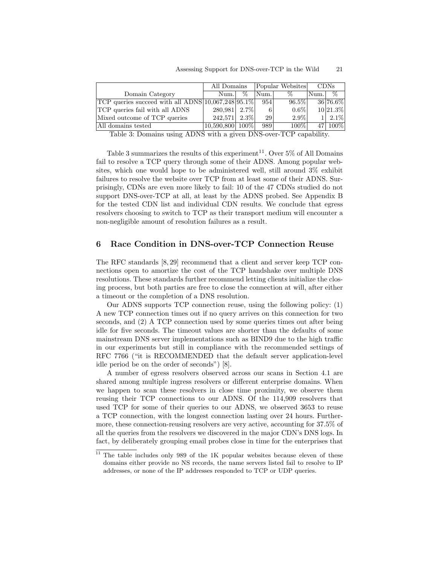|                                                         | All Domains              |      |      | Popular Websites | <b>CDNs</b> |              |
|---------------------------------------------------------|--------------------------|------|------|------------------|-------------|--------------|
| Domain Category                                         | Num.                     | $\%$ | Num. | $\%$             | Num.        | $\%$         |
| TCP queries succeed with all ADNS $ 10,067,248 95.1\% $ |                          |      | 954  | $96.5\%$         |             | 36 76.6%     |
| TCP queries fail with all ADNS                          | 280,981 2.7%             |      | 6    | $0.6\%$          |             | 10 21.3%     |
| Mixed outcome of TCP queries                            | $242,571$ 2.3%           |      | 29   | $2.9\%$          |             | $1 \, 2.1\%$ |
| All domains tested                                      | $ 10,590,800 $ $ 100\% $ |      | 989  | $100\%$          |             | 47 100%      |

Table 3: Domains using ADNS with a given DNS-over-TCP capability.

Table 3 summarizes the results of this experiment<sup>11</sup>. Over 5% of All Domains fail to resolve a TCP query through some of their ADNS. Among popular websites, which one would hope to be administered well, still around 3% exhibit failures to resolve the website over TCP from at least some of their ADNS. Surprisingly, CDNs are even more likely to fail: 10 of the 47 CDNs studied do not support DNS-over-TCP at all, at least by the ADNS probed. See Appendix B for the tested CDN list and individual CDN results. We conclude that egress resolvers choosing to switch to TCP as their transport medium will encounter a non-negligible amount of resolution failures as a result.

### 6 Race Condition in DNS-over-TCP Connection Reuse

The RFC standards [8, 29] recommend that a client and server keep TCP connections open to amortize the cost of the TCP handshake over multiple DNS resolutions. These standards further recommend letting clients initialize the closing process, but both parties are free to close the connection at will, after either a timeout or the completion of a DNS resolution.

Our ADNS supports TCP connection reuse, using the following policy: (1) A new TCP connection times out if no query arrives on this connection for two seconds, and (2) A TCP connection used by some queries times out after being idle for five seconds. The timeout values are shorter than the defaults of some mainstream DNS server implementations such as BIND9 due to the high traffic in our experiments but still in compliance with the recommended settings of RFC 7766 ("it is RECOMMENDED that the default server application-level idle period be on the order of seconds") [8].

A number of egress resolvers observed across our scans in Section 4.1 are shared among multiple ingress resolvers or different enterprise domains. When we happen to scan these resolvers in close time proximity, we observe them reusing their TCP connections to our ADNS. Of the 114,909 resolvers that used TCP for some of their queries to our ADNS, we observed 3653 to reuse a TCP connection, with the longest connection lasting over 24 hours. Furthermore, these connection-reusing resolvers are very active, accounting for 37.5% of all the queries from the resolvers we discovered in the major CDN's DNS logs. In fact, by deliberately grouping email probes close in time for the enterprises that

<sup>&</sup>lt;sup>11</sup> The table includes only 989 of the 1K popular websites because eleven of these domains either provide no NS records, the name servers listed fail to resolve to IP addresses, or none of the IP addresses responded to TCP or UDP queries.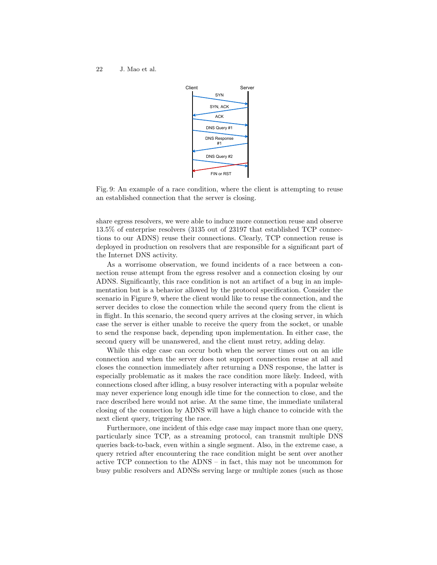

Fig. 9: An example of a race condition, where the client is attempting to reuse an established connection that the server is closing.

share egress resolvers, we were able to induce more connection reuse and observe 13.5% of enterprise resolvers (3135 out of 23197 that established TCP connections to our ADNS) reuse their connections. Clearly, TCP connection reuse is deployed in production on resolvers that are responsible for a significant part of the Internet DNS activity.

As a worrisome observation, we found incidents of a race between a connection reuse attempt from the egress resolver and a connection closing by our ADNS. Significantly, this race condition is not an artifact of a bug in an implementation but is a behavior allowed by the protocol specification. Consider the scenario in Figure 9, where the client would like to reuse the connection, and the server decides to close the connection while the second query from the client is in flight. In this scenario, the second query arrives at the closing server, in which case the server is either unable to receive the query from the socket, or unable to send the response back, depending upon implementation. In either case, the second query will be unanswered, and the client must retry, adding delay.

While this edge case can occur both when the server times out on an idle connection and when the server does not support connection reuse at all and closes the connection immediately after returning a DNS response, the latter is especially problematic as it makes the race condition more likely. Indeed, with connections closed after idling, a busy resolver interacting with a popular website may never experience long enough idle time for the connection to close, and the race described here would not arise. At the same time, the immediate unilateral closing of the connection by ADNS will have a high chance to coincide with the next client query, triggering the race.

Furthermore, one incident of this edge case may impact more than one query, particularly since TCP, as a streaming protocol, can transmit multiple DNS queries back-to-back, even within a single segment. Also, in the extreme case, a query retried after encountering the race condition might be sent over another active TCP connection to the ADNS – in fact, this may not be uncommon for busy public resolvers and ADNSs serving large or multiple zones (such as those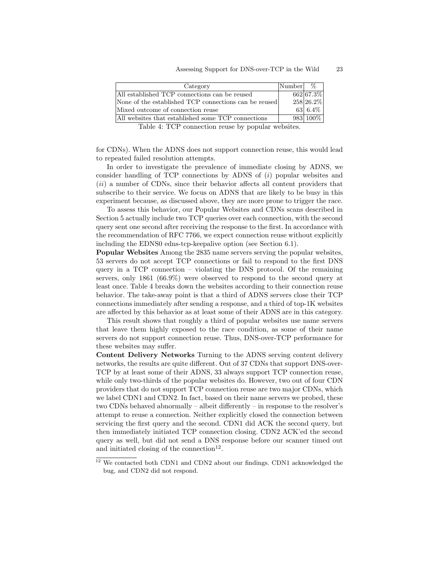| Category                                              | Number |              |
|-------------------------------------------------------|--------|--------------|
| All established TCP connections can be reused         |        | 662 67.3%    |
| None of the established TCP connections can be reused |        | 258 26.2%    |
| Mixed outcome of connection reuse                     |        | $63 6.4\% $  |
| All websites that established some TCP connections    |        | $983 100\% $ |

Table 4: TCP connection reuse by popular websites.

for CDNs). When the ADNS does not support connection reuse, this would lead to repeated failed resolution attempts.

In order to investigate the prevalence of immediate closing by ADNS, we consider handling of TCP connections by ADNS of (i) popular websites and (ii) a number of CDNs, since their behavior affects all content providers that subscribe to their service. We focus on ADNS that are likely to be busy in this experiment because, as discussed above, they are more prone to trigger the race.

To assess this behavior, our Popular Websites and CDNs scans described in Section 5 actually include two TCP queries over each connection, with the second query sent one second after receiving the response to the first. In accordance with the recommendation of RFC 7766, we expect connection reuse without explicitly including the EDNS0 edns-tcp-keepalive option (see Section 6.1).

Popular Websites Among the 2835 name servers serving the popular websites, 53 servers do not accept TCP connections or fail to respond to the first DNS query in a TCP connection – violating the DNS protocol. Of the remaining servers, only 1861 (66.9%) were observed to respond to the second query at least once. Table 4 breaks down the websites according to their connection reuse behavior. The take-away point is that a third of ADNS servers close their TCP connections immediately after sending a response, and a third of top-1K websites are affected by this behavior as at least some of their ADNS are in this category.

This result shows that roughly a third of popular websites use name servers that leave them highly exposed to the race condition, as some of their name servers do not support connection reuse. Thus, DNS-over-TCP performance for these websites may suffer.

Content Delivery Networks Turning to the ADNS serving content delivery networks, the results are quite different. Out of 37 CDNs that support DNS-over-TCP by at least some of their ADNS, 33 always support TCP connection reuse, while only two-thirds of the popular websites do. However, two out of four CDN providers that do not support TCP connection reuse are two major CDNs, which we label CDN1 and CDN2. In fact, based on their name servers we probed, these two CDNs behaved abnormally – albeit differently – in response to the resolver's attempt to reuse a connection. Neither explicitly closed the connection between servicing the first query and the second. CDN1 did ACK the second query, but then immediately initiated TCP connection closing. CDN2 ACK'ed the second query as well, but did not send a DNS response before our scanner timed out and initiated closing of the connection<sup>12</sup>.

 $^{12}$  We contacted both CDN1 and CDN2 about our findings. CDN1 acknowledged the bug, and CDN2 did not respond.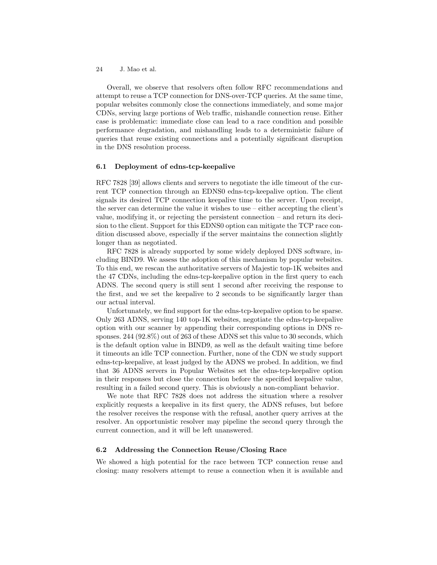Overall, we observe that resolvers often follow RFC recommendations and attempt to reuse a TCP connection for DNS-over-TCP queries. At the same time, popular websites commonly close the connections immediately, and some major CDNs, serving large portions of Web traffic, mishandle connection reuse. Either case is problematic: immediate close can lead to a race condition and possible performance degradation, and mishandling leads to a deterministic failure of queries that reuse existing connections and a potentially significant disruption in the DNS resolution process.

#### 6.1 Deployment of edns-tcp-keepalive

RFC 7828 [39] allows clients and servers to negotiate the idle timeout of the current TCP connection through an EDNS0 edns-tcp-keepalive option. The client signals its desired TCP connection keepalive time to the server. Upon receipt, the server can determine the value it wishes to use – either accepting the client's value, modifying it, or rejecting the persistent connection – and return its decision to the client. Support for this EDNS0 option can mitigate the TCP race condition discussed above, especially if the server maintains the connection slightly longer than as negotiated.

RFC 7828 is already supported by some widely deployed DNS software, including BIND9. We assess the adoption of this mechanism by popular websites. To this end, we rescan the authoritative servers of Majestic top-1K websites and the 47 CDNs, including the edns-tcp-keepalive option in the first query to each ADNS. The second query is still sent 1 second after receiving the response to the first, and we set the keepalive to 2 seconds to be significantly larger than our actual interval.

Unfortunately, we find support for the edns-tcp-keepalive option to be sparse. Only 263 ADNS, serving 140 top-1K websites, negotiate the edns-tcp-keepalive option with our scanner by appending their corresponding options in DNS responses. 244 (92.8%) out of 263 of these ADNS set this value to 30 seconds, which is the default option value in BIND9, as well as the default waiting time before it timeouts an idle TCP connection. Further, none of the CDN we study support edns-tcp-keepalive, at least judged by the ADNS we probed. In addition, we find that 36 ADNS servers in Popular Websites set the edns-tcp-keepalive option in their responses but close the connection before the specified keepalive value, resulting in a failed second query. This is obviously a non-compliant behavior.

We note that RFC 7828 does not address the situation where a resolver explicitly requests a keepalive in its first query, the ADNS refuses, but before the resolver receives the response with the refusal, another query arrives at the resolver. An opportunistic resolver may pipeline the second query through the current connection, and it will be left unanswered.

### 6.2 Addressing the Connection Reuse/Closing Race

We showed a high potential for the race between TCP connection reuse and closing: many resolvers attempt to reuse a connection when it is available and

<sup>24</sup> J. Mao et al.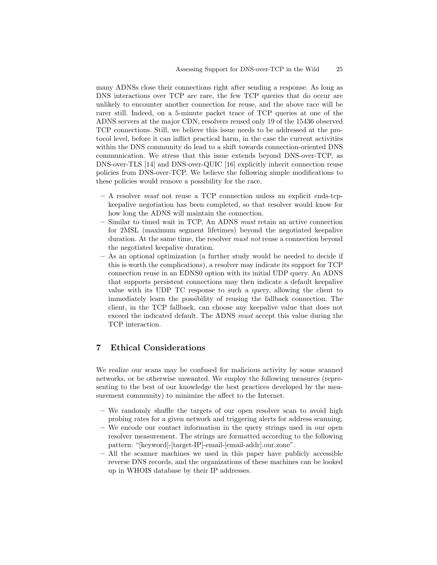many ADNSs close their connections right after sending a response. As long as DNS interactions over TCP are rare, the few TCP queries that do occur are unlikely to encounter another connection for reuse, and the above race will be rarer still. Indeed, on a 5-minute packet trace of TCP queries at one of the ADNS servers at the major CDN, resolvers reused only 19 of the 15436 observed TCP connections. Still, we believe this issue needs to be addressed at the protocol level, before it can inflict practical harm, in the case the current activities within the DNS community do lead to a shift towards connection-oriented DNS communication. We stress that this issue extends beyond DNS-over-TCP, as DNS-over-TLS [14] and DNS-over-QUIC [16] explicitly inherit connection reuse policies from DNS-over-TCP. We believe the following simple modifications to these policies would remove a possibility for the race.

- A resolver must not reuse a TCP connection unless an explicit ends-tcpkeepalive negotiation has been completed, so that resolver would know for how long the ADNS will maintain the connection.
- Similar to timed wait in TCP, An ADNS must retain an active connection for 2MSL (maximum segment lifetimes) beyond the negotiated keepalive duration. At the same time, the resolver must not reuse a connection beyond the negotiated keepalive duration.
- As an optional optimization (a further study would be needed to decide if this is worth the complications), a resolver may indicate its support for TCP connection reuse in an EDNS0 option with its initial UDP query. An ADNS that supports persistent connections may then indicate a default keepalive value with its UDP TC response to such a query, allowing the client to immediately learn the possibility of reusing the fallback connection. The client, in the TCP fallback, can choose any keepalive value that does not exceed the indicated default. The ADNS must accept this value during the TCP interaction.

### 7 Ethical Considerations

We realize our scans may be confused for malicious activity by some scanned networks, or be otherwise unwanted. We employ the following measures (representing to the best of our knowledge the best practices developed by the measurement community) to minimize the affect to the Internet.

- We randomly shuffle the targets of our open resolver scan to avoid high probing rates for a given network and triggering alerts for address scanning.
- We encode our contact information in the query strings used in our open resolver measurement. The strings are formatted according to the following pattern: "[keyword]-[target-IP]-email-[email-addr].our.zone".
- All the scanner machines we used in this paper have publicly accessible reverse DNS records, and the organizations of these machines can be looked up in WHOIS database by their IP addresses.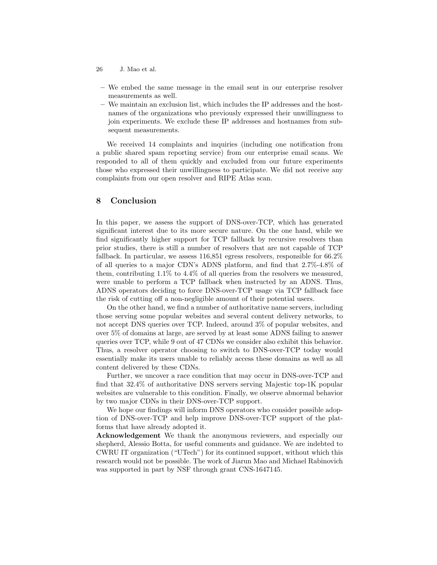- 26 J. Mao et al.
- We embed the same message in the email sent in our enterprise resolver measurements as well.
- We maintain an exclusion list, which includes the IP addresses and the hostnames of the organizations who previously expressed their unwillingness to join experiments. We exclude these IP addresses and hostnames from subsequent measurements.

We received 14 complaints and inquiries (including one notification from a public shared spam reporting service) from our enterprise email scans. We responded to all of them quickly and excluded from our future experiments those who expressed their unwillingness to participate. We did not receive any complaints from our open resolver and RIPE Atlas scan.

## 8 Conclusion

In this paper, we assess the support of DNS-over-TCP, which has generated significant interest due to its more secure nature. On the one hand, while we find significantly higher support for TCP fallback by recursive resolvers than prior studies, there is still a number of resolvers that are not capable of TCP fallback. In particular, we assess 116,851 egress resolvers, responsible for  $66.2\%$ of all queries to a major CDN's ADNS platform, and find that 2.7%-4.8% of them, contributing 1.1% to 4.4% of all queries from the resolvers we measured, were unable to perform a TCP fallback when instructed by an ADNS. Thus, ADNS operators deciding to force DNS-over-TCP usage via TCP fallback face the risk of cutting off a non-negligible amount of their potential users.

On the other hand, we find a number of authoritative name servers, including those serving some popular websites and several content delivery networks, to not accept DNS queries over TCP. Indeed, around 3% of popular websites, and over 5% of domains at large, are served by at least some ADNS failing to answer queries over TCP, while 9 out of 47 CDNs we consider also exhibit this behavior. Thus, a resolver operator choosing to switch to DNS-over-TCP today would essentially make its users unable to reliably access these domains as well as all content delivered by these CDNs.

Further, we uncover a race condition that may occur in DNS-over-TCP and find that 32.4% of authoritative DNS servers serving Majestic top-1K popular websites are vulnerable to this condition. Finally, we observe abnormal behavior by two major CDNs in their DNS-over-TCP support.

We hope our findings will inform DNS operators who consider possible adoption of DNS-over-TCP and help improve DNS-over-TCP support of the platforms that have already adopted it.

Acknowledgement We thank the anonymous reviewers, and especially our shepherd, Alessio Botta, for useful comments and guidance. We are indebted to CWRU IT organization ("UTech") for its continued support, without which this research would not be possible. The work of Jiarun Mao and Michael Rabinovich was supported in part by NSF through grant CNS-1647145.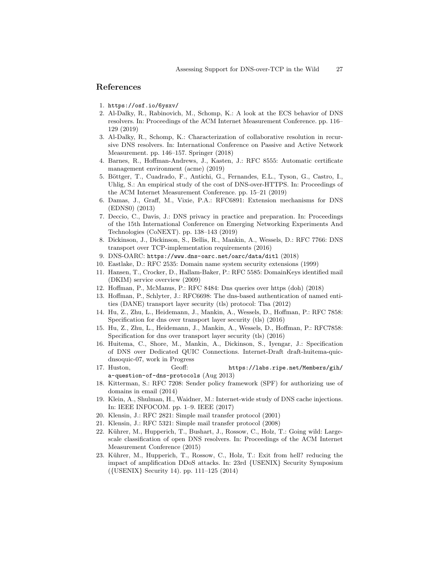### References

- 1. https://osf.io/6ysxv/
- 2. Al-Dalky, R., Rabinovich, M., Schomp, K.: A look at the ECS behavior of DNS resolvers. In: Proceedings of the ACM Internet Measurement Conference. pp. 116– 129 (2019)
- 3. Al-Dalky, R., Schomp, K.: Characterization of collaborative resolution in recursive DNS resolvers. In: International Conference on Passive and Active Network Measurement. pp. 146–157. Springer (2018)
- 4. Barnes, R., Hoffman-Andrews, J., Kasten, J.: RFC 8555: Automatic certificate management environment (acme) (2019)
- 5. Böttger, T., Cuadrado, F., Antichi, G., Fernandes, E.L., Tyson, G., Castro, I., Uhlig, S.: An empirical study of the cost of DNS-over-HTTPS. In: Proceedings of the ACM Internet Measurement Conference. pp. 15–21 (2019)
- 6. Damas, J., Graff, M., Vixie, P.A.: RFC6891: Extension mechanisms for DNS (EDNS0) (2013)
- 7. Deccio, C., Davis, J.: DNS privacy in practice and preparation. In: Proceedings of the 15th International Conference on Emerging Networking Experiments And Technologies (CoNEXT). pp. 138–143 (2019)
- 8. Dickinson, J., Dickinson, S., Bellis, R., Mankin, A., Wessels, D.: RFC 7766: DNS transport over TCP-implementation requirements (2016)
- 9. DNS-OARC: https://www.dns-oarc.net/oarc/data/ditl (2018)
- 10. Eastlake, D.: RFC 2535: Domain name system security extensions (1999)
- 11. Hansen, T., Crocker, D., Hallam-Baker, P.: RFC 5585: DomainKeys identified mail (DKIM) service overview (2009)
- 12. Hoffman, P., McManus, P.: RFC 8484: Dns queries over https (doh) (2018)
- 13. Hoffman, P., Schlyter, J.: RFC6698: The dns-based authentication of named entities (DANE) transport layer security (tls) protocol: Tlsa (2012)
- 14. Hu, Z., Zhu, L., Heidemann, J., Mankin, A., Wessels, D., Hoffman, P.: RFC 7858: Specification for dns over transport layer security (tls) (2016)
- 15. Hu, Z., Zhu, L., Heidemann, J., Mankin, A., Wessels, D., Hoffman, P.: RFC7858: Specification for dns over transport layer security (tls) (2016)
- 16. Huitema, C., Shore, M., Mankin, A., Dickinson, S., Iyengar, J.: Specification of DNS over Dedicated QUIC Connections. Internet-Draft draft-huitema-quicdnsoquic-07, work in Progress
- 17. Huston, Geoff: https://labs.ripe.net/Members/gih/ a-question-of-dns-protocols (Aug 2013)
- 18. Kitterman, S.: RFC 7208: Sender policy framework (SPF) for authorizing use of domains in email (2014)
- 19. Klein, A., Shulman, H., Waidner, M.: Internet-wide study of DNS cache injections. In: IEEE INFOCOM. pp. 1–9. IEEE (2017)
- 20. Klensin, J.: RFC 2821: Simple mail transfer protocol (2001)
- 21. Klensin, J.: RFC 5321: Simple mail transfer protocol (2008)
- 22. Kührer, M., Hupperich, T., Bushart, J., Rossow, C., Holz, T.: Going wild: Largescale classification of open DNS resolvers. In: Proceedings of the ACM Internet Measurement Conference (2015)
- 23. Kührer, M., Hupperich, T., Rossow, C., Holz, T.: Exit from hell? reducing the impact of amplification DDoS attacks. In: 23rd {USENIX} Security Symposium ({USENIX} Security 14). pp. 111–125 (2014)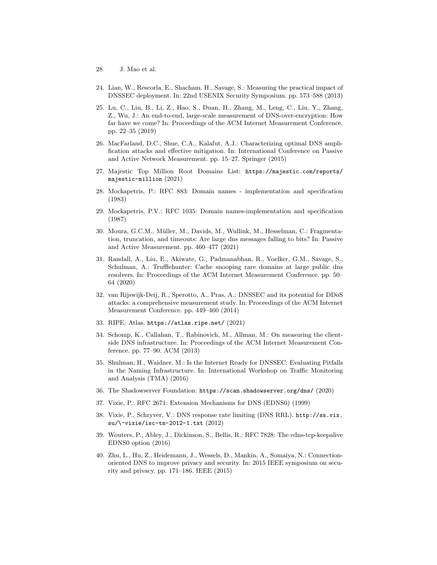- 28 J. Mao et al.
- 24. Lian, W., Rescorla, E., Shacham, H., Savage, S.: Measuring the practical impact of DNSSEC deployment. In: 22nd USENIX Security Symposium. pp. 573–588 (2013)
- 25. Lu, C., Liu, B., Li, Z., Hao, S., Duan, H., Zhang, M., Leng, C., Liu, Y., Zhang, Z., Wu, J.: An end-to-end, large-scale measurement of DNS-over-encryption: How far have we come? In: Proceedings of the ACM Internet Measurement Conference. pp. 22–35 (2019)
- 26. MacFarland, D.C., Shue, C.A., Kalafut, A.J.: Characterizing optimal DNS amplification attacks and effective mitigation. In: International Conference on Passive and Active Network Measurement. pp. 15–27. Springer (2015)
- 27. Majestic Top Million Root Domains List: https://majestic.com/reports/ majestic-million (2021)
- 28. Mockapetris, P.: RFC 883: Domain names implementation and specification (1983)
- 29. Mockapetris, P.V.: RFC 1035: Domain names-implementation and specification (1987)
- 30. Moura, G.C.M., M¨uller, M., Davids, M., Wullink, M., Hesselman, C.: Fragmentation, truncation, and timeouts: Are large dns messages falling to bits? In: Passive and Active Measurement. pp. 460–477 (2021)
- 31. Randall, A., Liu, E., Akiwate, G., Padmanabhan, R., Voelker, G.M., Savage, S., Schulman, A.: Trufflehunter: Cache snooping rare domains at large public dns resolvers. In: Proceedings of the ACM Internet Measurement Conference. pp. 50– 64 (2020)
- 32. van Rijswijk-Deij, R., Sperotto, A., Pras, A.: DNSSEC and its potential for DDoS attacks: a comprehensive measurement study. In: Proceedings of the ACM Internet Measurement Conference. pp. 449–460 (2014)
- 33. RIPE: Atlas. https://atlas.ripe.net/ (2021)
- 34. Schomp, K., Callahan, T., Rabinovich, M., Allman, M.: On measuring the clientside DNS infrastructure. In: Proceedings of the ACM Internet Measurement Conference. pp. 77–90. ACM (2013)
- 35. Shulman, H., Waidner, M.: Is the Internet Ready for DNSSEC: Evaluating Pitfalls in the Naming Infrastructure. In: International Workshop on Traffic Monitoring and Analysis (TMA) (2016)
- 36. The Shadowserver Foundation: https://scan.shadowserver.org/dns/ (2020)
- 37. Vixie, P.: RFC 2671: Extension Mechanisms for DNS (EDNS0) (1999)
- 38. Vixie, P., Schryver, V.: DNS response rate limiting (DNS RRL). http://ss.vix. su/\~vixie/isc-tn-2012-1.txt (2012)
- 39. Wouters, P., Abley, J., Dickinson, S., Bellis, R.: RFC 7828: The edns-tcp-keepalive EDNS0 option (2016)
- 40. Zhu, L., Hu, Z., Heidemann, J., Wessels, D., Mankin, A., Somaiya, N.: Connectionoriented DNS to improve privacy and security. In: 2015 IEEE symposium on security and privacy. pp. 171–186. IEEE (2015)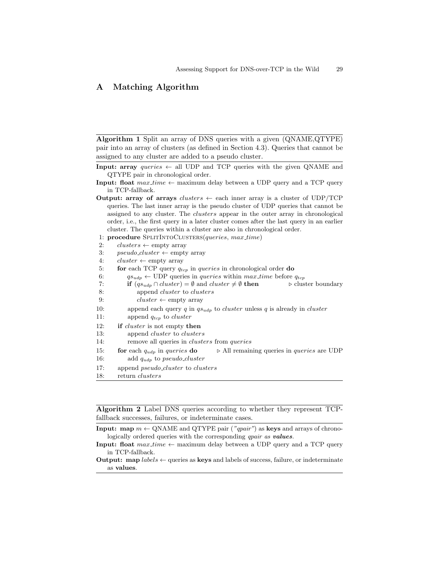### A Matching Algorithm

Algorithm 1 Split an array of DNS queries with a given (QNAME,QTYPE) pair into an array of clusters (as defined in Section 4.3). Queries that cannot be assigned to any cluster are added to a pseudo cluster.

- Input: array  $queries \leftarrow all UDP and TCP queries with the given QNAME and$ QTYPE pair in chronological order.
- **Input:** float  $max_time \leftarrow maximum$  delay between a UDP query and a TCP query in TCP-fallback.
- Output: array of arrays clusters  $\leftarrow$  each inner array is a cluster of UDP/TCP queries. The last inner array is the pseudo cluster of UDP queries that cannot be assigned to any cluster. The clusters appear in the outer array in chronological order, i.e., the first query in a later cluster comes after the last query in an earlier cluster. The queries within a cluster are also in chronological order.
- 1: procedure SplitIntoClusters(queries, max time)

|     | $\frac{1}{2}$                                                                                                          |
|-----|------------------------------------------------------------------------------------------------------------------------|
| 2:  | $clusters \leftarrow \text{empty array}$                                                                               |
| 3:  | $pseudo\_cluster \leftarrow \text{empty array}$                                                                        |
| 4:  | $cluster \leftarrow \text{empty array}$                                                                                |
| 5:  | for each TCP query $q_{tcp}$ in <i>queries</i> in chronological order do                                               |
| 6:  | $qs_{udp} \leftarrow \text{UDP queries in queries within } max_time \text{ before } q_{top}$                           |
| 7:  | <b>if</b> $(qs_{udp} \cap cluster) = \emptyset$ and $cluster \neq \emptyset$ then<br>$\triangleright$ cluster boundary |
| 8:  | append <i>cluster</i> to <i>clusters</i>                                                                               |
| 9:  | $cluster \leftarrow \text{empty array}$                                                                                |
| 10: | append each query q in $q_{s_{udp}}$ to <i>cluster</i> unless q is already in <i>cluster</i>                           |
| 11: | append $q_{tcp}$ to <i>cluster</i>                                                                                     |
| 12: | if <i>cluster</i> is not empty then                                                                                    |
| 13: | append <i>cluster</i> to <i>clusters</i>                                                                               |
| 14: | remove all queries in <i>clusters</i> from <i>queries</i>                                                              |
| 15: | <b>for</b> each $q_{udp}$ in queries <b>do</b> $\triangleright$ All remaining queries in queries are UDP               |
| 16: | add $q_{udp}$ to pseudo_cluster                                                                                        |
| 17: | append <i>pseudo_cluster</i> to <i>clusters</i>                                                                        |
| 18: | return <i>clusters</i>                                                                                                 |

Algorithm 2 Label DNS queries according to whether they represent TCPfallback successes, failures, or indeterminate cases.

- **Input:** map  $m \leftarrow QNAME$  and  $QTYPE$  pair ("qpair") as keys and arrays of chronologically ordered queries with the corresponding *qpair as values*.
- Input: float  $max_time \leftarrow maximum$  delay between a UDP query and a TCP query in TCP-fallback.
- Output: map  $labels \leftarrow$  queries as keys and labels of success, failure, or indeterminate as values.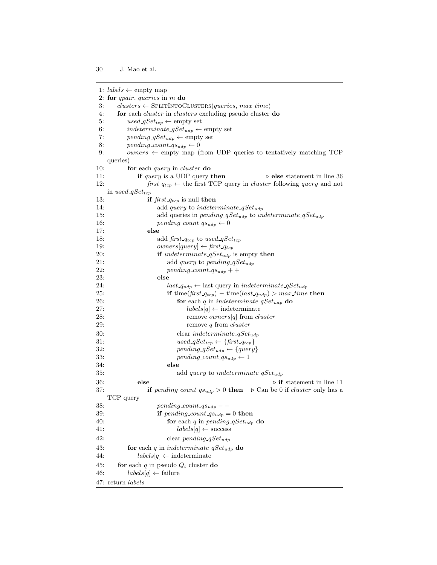1:  $labels \leftarrow \text{empty map}$ 2: for qpair, queries in m do 3: clusters ← SPLITINTOCLUSTERS(queries,  $max_time)$ 4: for each cluster in clusters excluding pseudo cluster do 5:  $used\_qSet_{tcp} \leftarrow \text{empty set}$ 6: *indeterminate\_qSet<sub>udp</sub>*  $\leftarrow$  empty set 7: pending  $qSet_{udp} \leftarrow \text{empty set}$ 8: pending\_count\_ $qs_{udp} \leftarrow 0$ 9: owners  $\leftarrow$  empty map (from UDP queries to tentatively matching TCP queries) 10: **for** each *query* in *cluster* **do** 11: **if** *query* is a UDP query **then**  $\triangleright$  **else** statement in line 36 12: first  $q_{tcp} \leftarrow$  the first TCP query in *cluster* following *query* and not in used- $qSet_{tcp}$ 13: **if**  $first\_q_{top}$  is null **then** 14: add *query* to *indeterminate\_qSet<sub>udp</sub>* 15: add queries in  $pending\_qSet_{udp}$  to indeterminate  $qSet_{udp}$ 16:  $pending\_count\_qs_{udp} \leftarrow 0$ 17: else 18: add first  $q_{tcp}$  to used  $qSet_{tcp}$ 19:  $owners[query] \leftarrow first_q_{top}$ 20: **if**  $indeterminate_qSet_{udp}$  is empty **then** 21: add *query* to *pending qSet<sub>udp</sub>* 22:  $pending\_count\_qs_{udp} + +$ 23: else 24:  $last_{\text{q}_{\text{udp}}} \leftarrow$  last query in indeterminate  $qSet_{\text{udp}}$ 25: **if** time(first<sub>-qtcp</sub>) – time(last<sub>-qudp</sub>) > max\_time then 26: **for** each q in indeterminate  $qSet_{udp}$  **do** 27:  $labels[q] \leftarrow \text{indeterminate}$ 28: remove *owners*[q] from *cluster* 29: remove q from *cluster* 30: clear indeterminate\_ $qSet_{udp}$ 31:  $used\_qSet_{tcp} \leftarrow \{first\_q_{tcp}\}$ 32:  $pending\_qSet_{udp} \leftarrow \{query\}$ 33:  $pending_count_qs_{udp} \leftarrow 1$ 34: else 35: add *query* to *indeterminate\_* $qSet_{udp}$ 36: else . if statement in line 11 37: **if** pending count  $qs_{udp} > 0$  then  $\triangleright$  Can be 0 if cluster only has a TCP query 38: pending\_count\_ $qs_{udp}$  – – 39: if  $pending_count_qs_{udp} = 0$  then 40: **for** each q in pending  $qSet_{udp}$  **do** 41:  $labels[q] \leftarrow success$ 42: clear pending  $qSet_{udp}$ 43: **for** each q in indeterminate  $qSet_{udp}$  do 44:  $labels[q] \leftarrow \text{indeterminate}$ 45: for each q in pseudo  $Q_t$  cluster do 46:  $labels[q] \leftarrow failure$ 47: return labels